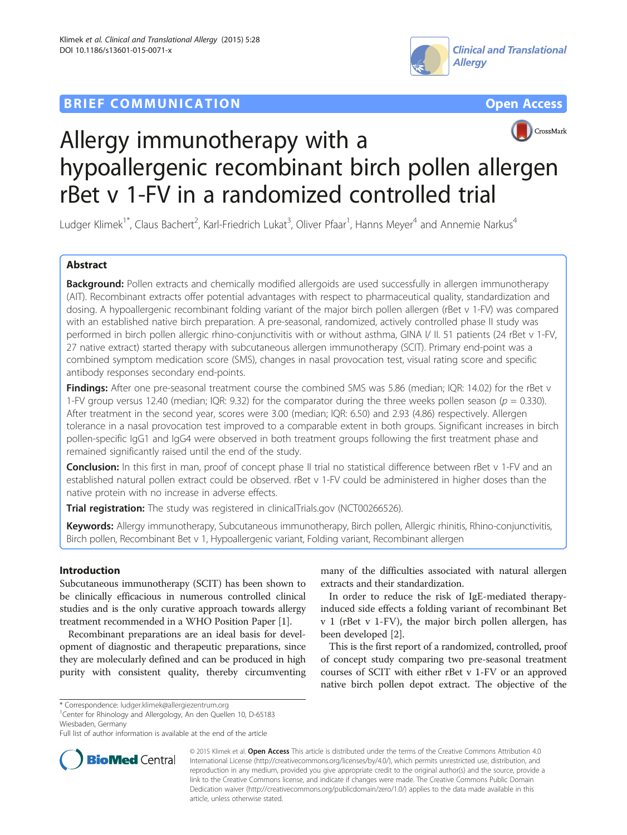# **BRIEF COMMUNICATION COMMUNICATION**







# Allergy immunotherapy with a hypoallergenic recombinant birch pollen allergen rBet v 1-FV in a randomized controlled trial

Ludger Klimek<sup>1\*</sup>, Claus Bachert<sup>2</sup>, Karl-Friedrich Lukat<sup>3</sup>, Oliver Pfaar<sup>1</sup>, Hanns Meyer<sup>4</sup> and Annemie Narkus<sup>4</sup>

# Abstract

Background: Pollen extracts and chemically modified allergoids are used successfully in allergen immunotherapy (AIT). Recombinant extracts offer potential advantages with respect to pharmaceutical quality, standardization and dosing. A hypoallergenic recombinant folding variant of the major birch pollen allergen (rBet v 1-FV) was compared with an established native birch preparation. A pre-seasonal, randomized, actively controlled phase II study was performed in birch pollen allergic rhino-conjunctivitis with or without asthma, GINA I/ II. 51 patients (24 rBet v 1-FV, 27 native extract) started therapy with subcutaneous allergen immunotherapy (SCIT). Primary end-point was a combined symptom medication score (SMS), changes in nasal provocation test, visual rating score and specific antibody responses secondary end-points.

Findings: After one pre-seasonal treatment course the combined SMS was 5.86 (median; IQR: 14.02) for the rBet v 1-FV group versus 12.40 (median; IQR: 9.32) for the comparator during the three weeks pollen season ( $p = 0.330$ ). After treatment in the second year, scores were 3.00 (median; IQR: 6.50) and 2.93 (4.86) respectively. Allergen tolerance in a nasal provocation test improved to a comparable extent in both groups. Significant increases in birch pollen-specific IgG1 and IgG4 were observed in both treatment groups following the first treatment phase and remained significantly raised until the end of the study.

Conclusion: In this first in man, proof of concept phase II trial no statistical difference between rBet v 1-FV and an established natural pollen extract could be observed. rBet v 1-FV could be administered in higher doses than the native protein with no increase in adverse effects.

Trial registration: The study was registered in clinicalTrials.gov ([NCT00266526\)](http://www.clinicaltrials.gov/NCT00266526).

Keywords: Allergy immunotherapy, Subcutaneous immunotherapy, Birch pollen, Allergic rhinitis, Rhino-conjunctivitis, Birch pollen, Recombinant Bet v 1, Hypoallergenic variant, Folding variant, Recombinant allergen

# Introduction

Subcutaneous immunotherapy (SCIT) has been shown to be clinically efficacious in numerous controlled clinical studies and is the only curative approach towards allergy treatment recommended in a WHO Position Paper [\[1](#page-7-0)].

Recombinant preparations are an ideal basis for development of diagnostic and therapeutic preparations, since they are molecularly defined and can be produced in high purity with consistent quality, thereby circumventing

many of the difficulties associated with natural allergen extracts and their standardization.

In order to reduce the risk of IgE-mediated therapyinduced side effects a folding variant of recombinant Bet v 1 (rBet v 1-FV), the major birch pollen allergen, has been developed [\[2](#page-7-0)].

This is the first report of a randomized, controlled, proof of concept study comparing two pre-seasonal treatment courses of SCIT with either rBet v 1-FV or an approved native birch pollen depot extract. The objective of the

<sup>1</sup> Center for Rhinology and Allergology, An den Quellen 10, D-65183 Wiesbaden, Germany

Full list of author information is available at the end of the article



© 2015 Klimek et al. Open Access This article is distributed under the terms of the Creative Commons Attribution 4.0 International License [\(http://creativecommons.org/licenses/by/4.0/\)](http://creativecommons.org/licenses/by/4.0/), which permits unrestricted use, distribution, and reproduction in any medium, provided you give appropriate credit to the original author(s) and the source, provide a link to the Creative Commons license, and indicate if changes were made. The Creative Commons Public Domain Dedication waiver ([http://creativecommons.org/publicdomain/zero/1.0/\)](http://creativecommons.org/publicdomain/zero/1.0/) applies to the data made available in this article, unless otherwise stated.

<sup>\*</sup> Correspondence: [ludger.klimek@allergiezentrum.org](mailto:ludger.klimek@allergiezentrum.org) <sup>1</sup>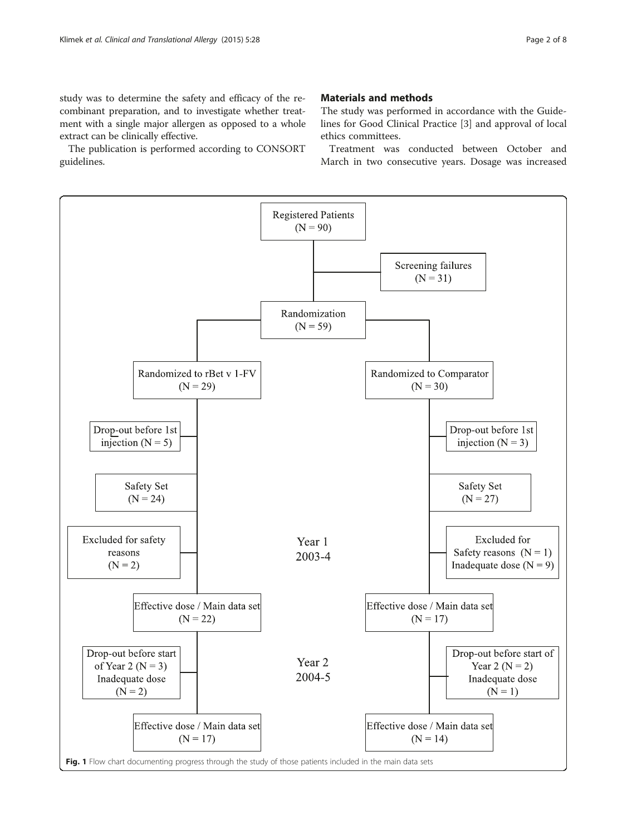<span id="page-1-0"></span>study was to determine the safety and efficacy of the recombinant preparation, and to investigate whether treatment with a single major allergen as opposed to a whole extract can be clinically effective.

The publication is performed according to CONSORT guidelines.

# Materials and methods

The study was performed in accordance with the Guidelines for Good Clinical Practice [[3](#page-7-0)] and approval of local ethics committees.

Treatment was conducted between October and March in two consecutive years. Dosage was increased

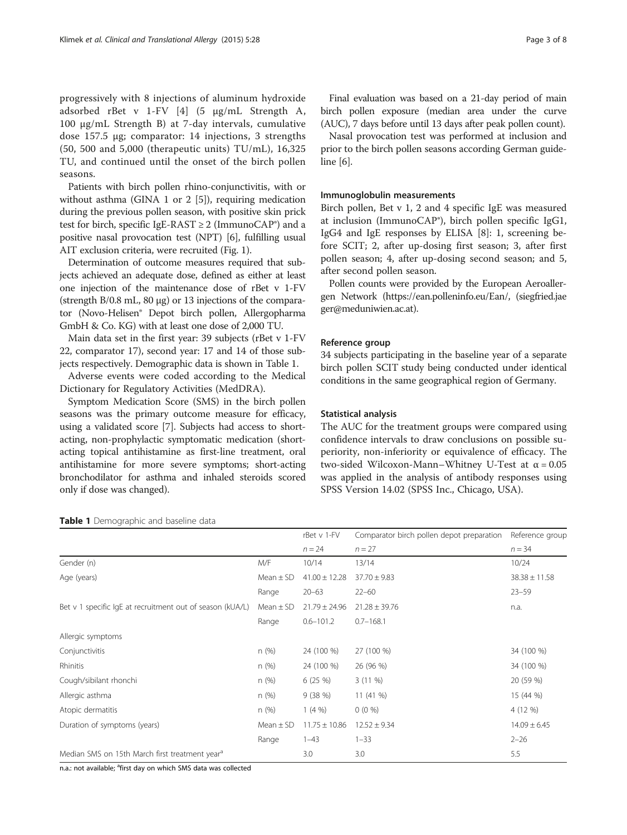progressively with 8 injections of aluminum hydroxide adsorbed rBet v 1-FV [[4\]](#page-7-0) (5 μg/mL Strength A, 100 μg/mL Strength B) at 7-day intervals, cumulative dose 157.5 μg; comparator: 14 injections, 3 strengths (50, 500 and 5,000 (therapeutic units) TU/mL), 16,325 TU, and continued until the onset of the birch pollen seasons.

Patients with birch pollen rhino-conjunctivitis, with or without asthma (GINA 1 or 2 [[5](#page-7-0)]), requiring medication during the previous pollen season, with positive skin prick test for birch, specific IgE-RAST  $\geq$  2 (ImmunoCAP<sup>®</sup>) and a positive nasal provocation test (NPT) [\[6](#page-7-0)], fulfilling usual AIT exclusion criteria, were recruited (Fig. [1](#page-1-0)).

Determination of outcome measures required that subjects achieved an adequate dose, defined as either at least one injection of the maintenance dose of rBet v 1-FV (strength B/0.8 mL, 80 μg) or 13 injections of the comparator (Novo-Helisen® Depot birch pollen, Allergopharma GmbH & Co. KG) with at least one dose of 2,000 TU.

Main data set in the first year: 39 subjects (rBet v 1-FV 22, comparator 17), second year: 17 and 14 of those subjects respectively. Demographic data is shown in Table 1.

Adverse events were coded according to the Medical Dictionary for Regulatory Activities (MedDRA).

Symptom Medication Score (SMS) in the birch pollen seasons was the primary outcome measure for efficacy, using a validated score [\[7\]](#page-7-0). Subjects had access to shortacting, non-prophylactic symptomatic medication (shortacting topical antihistamine as first-line treatment, oral antihistamine for more severe symptoms; short-acting bronchodilator for asthma and inhaled steroids scored only if dose was changed).

Final evaluation was based on a 21-day period of main birch pollen exposure (median area under the curve (AUC), 7 days before until 13 days after peak pollen count).

Nasal provocation test was performed at inclusion and prior to the birch pollen seasons according German guideline [\[6\]](#page-7-0).

# Immunoglobulin measurements

Birch pollen, Bet v 1, 2 and 4 specific IgE was measured at inclusion (ImmunoCAP®), birch pollen specific IgG1, IgG4 and IgE responses by ELISA [[8\]](#page-7-0): 1, screening before SCIT; 2, after up-dosing first season; 3, after first pollen season; 4, after up-dosing second season; and 5, after second pollen season.

Pollen counts were provided by the European Aeroallergen Network ([https://ean.polleninfo.eu/Ean/,](https://ean.polleninfo.eu/Ean/) (siegfried.jae ger@meduniwien.ac.at).

# Reference group

34 subjects participating in the baseline year of a separate birch pollen SCIT study being conducted under identical conditions in the same geographical region of Germany.

#### Statistical analysis

The AUC for the treatment groups were compared using confidence intervals to draw conclusions on possible superiority, non-inferiority or equivalence of efficacy. The two-sided Wilcoxon-Mann–Whitney U-Test at α = 0.05 was applied in the analysis of antibody responses using SPSS Version 14.02 (SPSS Inc., Chicago, USA).

|                                                            |               | rBet v 1-FV       | Comparator birch pollen depot preparation | Reference group   |
|------------------------------------------------------------|---------------|-------------------|-------------------------------------------|-------------------|
|                                                            |               | $n = 24$          | $n = 27$                                  | $n = 34$          |
| Gender (n)                                                 | M/F           | 10/14             | 13/14                                     | 10/24             |
| Age (years)                                                | Mean $\pm$ SD | $41.00 \pm 12.28$ | $37.70 \pm 9.83$                          | $38.38 \pm 11.58$ |
|                                                            | Range         | $20 - 63$         | $22 - 60$                                 | $23 - 59$         |
| Bet v 1 specific IgE at recruitment out of season (kUA/L)  | Mean $\pm$ SD | $21.79 \pm 24.96$ | $21.28 \pm 39.76$                         | n.a.              |
|                                                            | Range         | $0.6 - 101.2$     | $0.7 - 168.1$                             |                   |
| Allergic symptoms                                          |               |                   |                                           |                   |
| Conjunctivitis                                             | n(%)          | 24 (100 %)        | 27 (100 %)                                | 34 (100 %)        |
| Rhinitis                                                   | n(%)          | 24 (100 %)        | 26 (96 %)                                 | 34 (100 %)        |
| Cough/sibilant rhonchi                                     | n(%)          | 6(25%)            | $3(11\%)$                                 | 20 (59 %)         |
| Allergic asthma                                            | n(%)          | 9(38%)            | 11 (41 %)                                 | 15 (44 %)         |
| Atopic dermatitis                                          | n(%)          | 1(4%              | $0(0\%)$                                  | 4 (12 %)          |
| Duration of symptoms (years)                               | Mean $\pm$ SD | $11.75 \pm 10.86$ | $12.52 \pm 9.34$                          | $14.09 \pm 6.45$  |
|                                                            | Range         | $1 - 43$          | $1 - 33$                                  | $2 - 26$          |
| Median SMS on 15th March first treatment year <sup>a</sup> |               | 3.0               | 3.0                                       | 5.5               |

Table 1 Demographic and baseline data

n.a.: not available; <sup>a</sup>first day on which SMS data was collected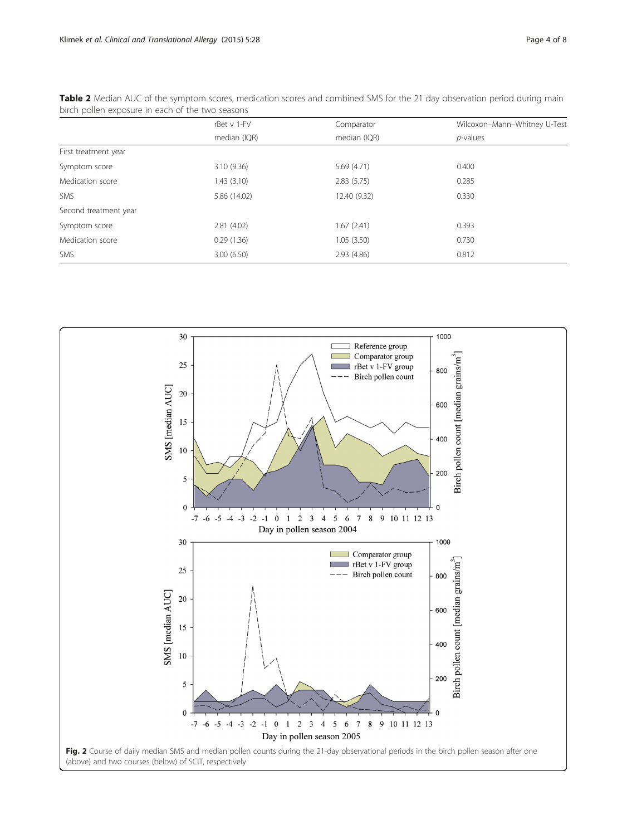|                       | rBet v 1-FV  | Comparator   | Wilcoxon-Mann-Whitney U-Test |  |  |
|-----------------------|--------------|--------------|------------------------------|--|--|
|                       | median (IQR) | median (IQR) | $p$ -values                  |  |  |
| First treatment year  |              |              |                              |  |  |
| Symptom score         | 3.10(9.36)   | 5.69(4.71)   | 0.400                        |  |  |
| Medication score      | 1.43(3.10)   | 2.83(5.75)   | 0.285                        |  |  |
| <b>SMS</b>            | 5.86 (14.02) | 12.40 (9.32) | 0.330                        |  |  |
| Second treatment year |              |              |                              |  |  |
| Symptom score         | 2.81(4.02)   | 1.67(2.41)   | 0.393                        |  |  |
| Medication score      | 0.29(1.36)   | 1.05(3.50)   | 0.730                        |  |  |
| SMS                   | 3.00(6.50)   | 2.93(4.86)   | 0.812                        |  |  |

<span id="page-3-0"></span>Table 2 Median AUC of the symptom scores, medication scores and combined SMS for the 21 day observation period during main birch pollen exposure in each of the two seasons

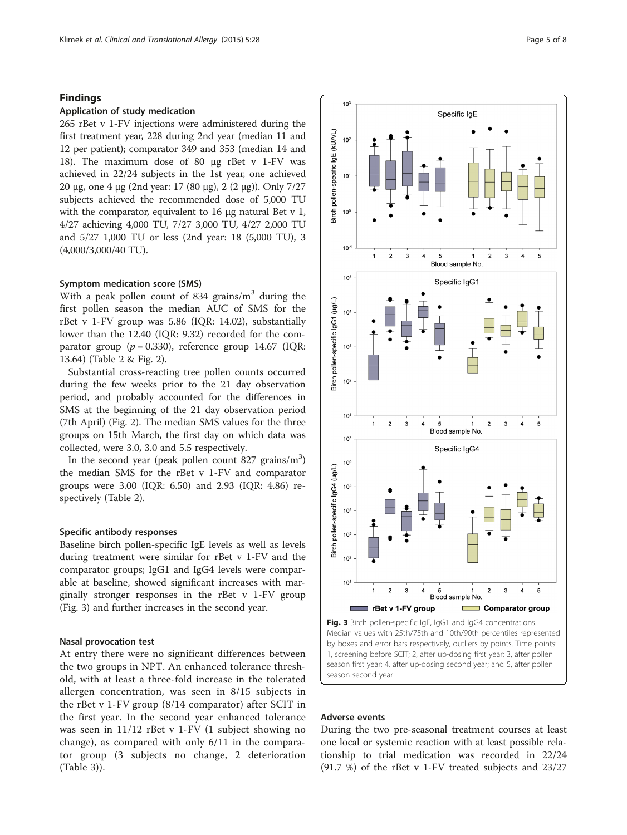## Findings

# Application of study medication

265 rBet v 1-FV injections were administered during the first treatment year, 228 during 2nd year (median 11 and 12 per patient); comparator 349 and 353 (median 14 and 18). The maximum dose of 80 μg rBet v 1-FV was achieved in 22/24 subjects in the 1st year, one achieved 20 μg, one 4 μg (2nd year: 17 (80 μg), 2 (2 μg)). Only 7/27 subjects achieved the recommended dose of 5,000 TU with the comparator, equivalent to 16 μg natural Bet v 1, 4/27 achieving 4,000 TU, 7/27 3,000 TU, 4/27 2,000 TU and 5/27 1,000 TU or less (2nd year: 18 (5,000 TU), 3 (4,000/3,000/40 TU).

# Symptom medication score (SMS)

With a peak pollen count of 834 grains/ $m<sup>3</sup>$  during the first pollen season the median AUC of SMS for the rBet v 1-FV group was 5.86 (IQR: 14.02), substantially lower than the 12.40 (IQR: 9.32) recorded for the comparator group ( $p = 0.330$ ), reference group 14.67 (IQR: 13.64) (Table [2](#page-3-0) & Fig. [2](#page-3-0)).

Substantial cross-reacting tree pollen counts occurred during the few weeks prior to the 21 day observation period, and probably accounted for the differences in SMS at the beginning of the 21 day observation period (7th April) (Fig. [2\)](#page-3-0). The median SMS values for the three groups on 15th March, the first day on which data was collected, were 3.0, 3.0 and 5.5 respectively.

In the second year (peak pollen count 827 grains/ $m<sup>3</sup>$ ) the median SMS for the rBet v 1-FV and comparator groups were 3.00 (IQR: 6.50) and 2.93 (IQR: 4.86) respectively (Table [2](#page-3-0)).

# Specific antibody responses

Baseline birch pollen-specific IgE levels as well as levels during treatment were similar for rBet v 1-FV and the comparator groups; IgG1 and IgG4 levels were comparable at baseline, showed significant increases with marginally stronger responses in the rBet v 1-FV group (Fig. 3) and further increases in the second year.

#### Nasal provocation test

At entry there were no significant differences between the two groups in NPT. An enhanced tolerance threshold, with at least a three-fold increase in the tolerated allergen concentration, was seen in 8/15 subjects in the rBet v 1-FV group (8/14 comparator) after SCIT in the first year. In the second year enhanced tolerance was seen in 11/12 rBet v 1-FV (1 subject showing no change), as compared with only 6/11 in the comparator group (3 subjects no change, 2 deterioration (Table [3\)](#page-5-0)).



Median values with 25th/75th and 10th/90th percentiles represented by boxes and error bars respectively, outliers by points. Time points: 1, screening before SCIT; 2, after up-dosing first year; 3, after pollen season first year; 4, after up-dosing second year; and 5, after pollen season second year

# Adverse events

During the two pre-seasonal treatment courses at least one local or systemic reaction with at least possible relationship to trial medication was recorded in 22/24 (91.7 %) of the rBet v 1-FV treated subjects and 23/27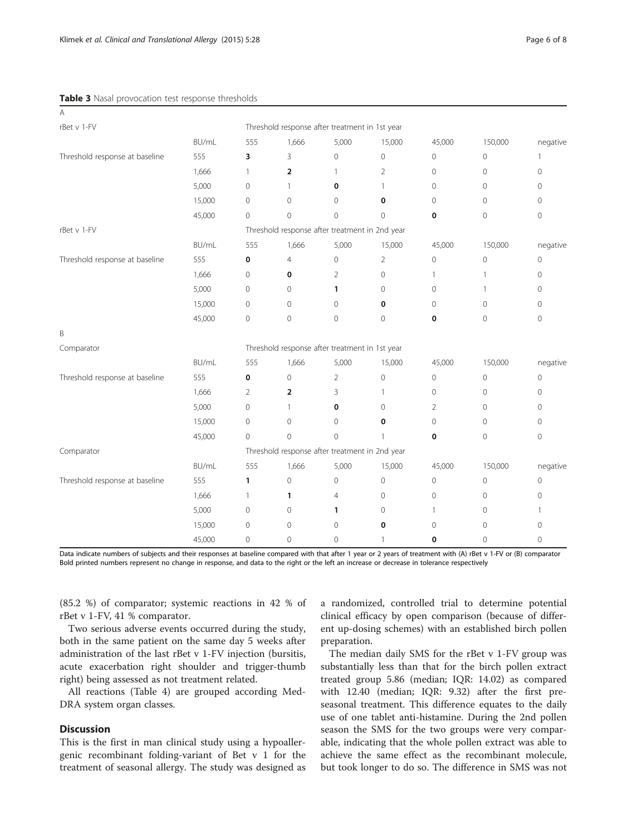#### <span id="page-5-0"></span>Table 3 Nasal provocation test response thresholds

A

| $\cdots$                       |        |                                                |                |                     |                     |                |                |                     |  |
|--------------------------------|--------|------------------------------------------------|----------------|---------------------|---------------------|----------------|----------------|---------------------|--|
| rBet v 1-FV                    |        | Threshold response after treatment in 1st year |                |                     |                     |                |                |                     |  |
|                                | BU/mL  | 555                                            | 1,666          | 5,000               | 15,000              | 45,000         | 150,000        | negative            |  |
| Threshold response at baseline | 555    | 3                                              | 3              | $\mathbf 0$         | $\mathsf{O}\xspace$ | 0              | $\mathbf{0}$   | -1                  |  |
|                                | 1,666  | 1                                              | $\overline{2}$ | 1                   | $\overline{2}$      | $\overline{0}$ | $\mathbf 0$    | 0                   |  |
|                                | 5,000  | $\mathbf{0}$                                   | $\mathbf{1}$   | 0                   | 1                   | $\mathbf{0}$   | 0              | 0                   |  |
|                                | 15,000 | $\mathbf 0$                                    | $\mathbf{0}$   | $\mathbf 0$         | $\mathbf 0$         | 0              | 0              | 0                   |  |
|                                | 45,000 | $\overline{0}$                                 | $\mathbf{0}$   | $\Omega$            | $\overline{0}$      | 0              | $\mathbf 0$    | 0                   |  |
| rBet v 1-FV                    |        | Threshold response after treatment in 2nd year |                |                     |                     |                |                |                     |  |
|                                | BU/mL  | 555                                            | 1,666          | 5,000               | 15,000              | 45,000         | 150,000        | negative            |  |
| Threshold response at baseline | 555    | 0                                              | $\overline{4}$ | $\mathbf 0$         | $\overline{2}$      | $\mathbf 0$    | $\mathbf 0$    | 0                   |  |
|                                | 1,666  | $\circ$                                        | 0              | $\overline{2}$      | 0                   | $\mathbf{1}$   | 1              | 0                   |  |
|                                | 5,000  | $\mathbf 0$                                    | $\circ$        | 1                   | 0                   | 0              | 1              | 0                   |  |
|                                | 15,000 | $\mathbf 0$                                    | $\mathbf{0}$   | $\Omega$            | 0                   | $\circ$        | $\mathbf{0}$   | 0                   |  |
|                                | 45,000 | $\mathbf 0$                                    | $\mathbf{0}$   | $\mathbf{0}$        | $\mathbf 0$         | 0              | $\mathbf{0}$   | 0                   |  |
| B                              |        |                                                |                |                     |                     |                |                |                     |  |
| Comparator                     |        | Threshold response after treatment in 1st year |                |                     |                     |                |                |                     |  |
|                                | BU/mL  | 555                                            | 1,666          | 5,000               | 15,000              | 45,000         | 150,000        | negative            |  |
| Threshold response at baseline | 555    | 0                                              | $\mathbf 0$    | 2                   | $\mathbf 0$         | 0              | $\mathbf{0}$   | 0                   |  |
|                                | 1,666  | $\overline{2}$                                 | $\overline{2}$ | 3                   | $\mathbf{1}$        | $\overline{0}$ | $\mathbf 0$    | 0                   |  |
|                                | 5,000  | $\mathbf 0$                                    | $\overline{1}$ | 0                   | $\mathbf{0}$        | 2              | 0              | 0                   |  |
|                                | 15,000 | $\mathbf 0$                                    | $\mathbf 0$    | $\mathbf{0}$        | 0                   | 0              | $\mathbf 0$    | $\mathsf{O}\xspace$ |  |
|                                | 45,000 | $\overline{0}$                                 | $\Omega$       | $\Omega$            | $\mathbf{1}$        | 0              | $\overline{0}$ | 0                   |  |
| Comparator                     |        | Threshold response after treatment in 2nd year |                |                     |                     |                |                |                     |  |
|                                | BU/mL  | 555                                            | 1,666          | 5,000               | 15,000              | 45,000         | 150,000        | negative            |  |
| Threshold response at baseline | 555    | 1                                              | $\mathbf 0$    | $\mathsf{O}\xspace$ | $\mathbf 0$         | 0              | $\mathbf 0$    | 0                   |  |
|                                | 1,666  | 1                                              | 1              | $\overline{4}$      | 0                   | 0              | $\mathbf{0}$   | 0                   |  |
|                                | 5,000  | $\mathbf 0$                                    | $\mathbf 0$    | 1                   | 0                   | $\mathbf{1}$   | 0              | 1                   |  |
|                                | 15,000 | $\mathbf 0$                                    | $\mathbf{0}$   | $\Omega$            | 0                   | $\circ$        | $\mathbf{0}$   | 0                   |  |
|                                | 45,000 | $\mathbf 0$                                    | $\circ$        | $\mathbf 0$         | 1                   | 0              | 0              | $\mathbf 0$         |  |

Data indicate numbers of subjects and their responses at baseline compared with that after 1 year or 2 years of treatment with (A) rBet v 1-FV or (B) comparator Bold printed numbers represent no change in response, and data to the right or the left an increase or decrease in tolerance respectively

(85.2 %) of comparator; systemic reactions in 42 % of rBet v 1-FV, 41 % comparator.

Two serious adverse events occurred during the study, both in the same patient on the same day 5 weeks after administration of the last rBet v 1-FV injection (bursitis, acute exacerbation right shoulder and trigger-thumb right) being assessed as not treatment related.

All reactions (Table [4\)](#page-6-0) are grouped according Med-DRA system organ classes.

# **Discussion**

This is the first in man clinical study using a hypoallergenic recombinant folding-variant of Bet v 1 for the treatment of seasonal allergy. The study was designed as a randomized, controlled trial to determine potential clinical efficacy by open comparison (because of different up-dosing schemes) with an established birch pollen preparation.

The median daily SMS for the rBet v 1-FV group was substantially less than that for the birch pollen extract treated group 5.86 (median; IQR: 14.02) as compared with 12.40 (median; IQR: 9.32) after the first preseasonal treatment. This difference equates to the daily use of one tablet anti-histamine. During the 2nd pollen season the SMS for the two groups were very comparable, indicating that the whole pollen extract was able to achieve the same effect as the recombinant molecule, but took longer to do so. The difference in SMS was not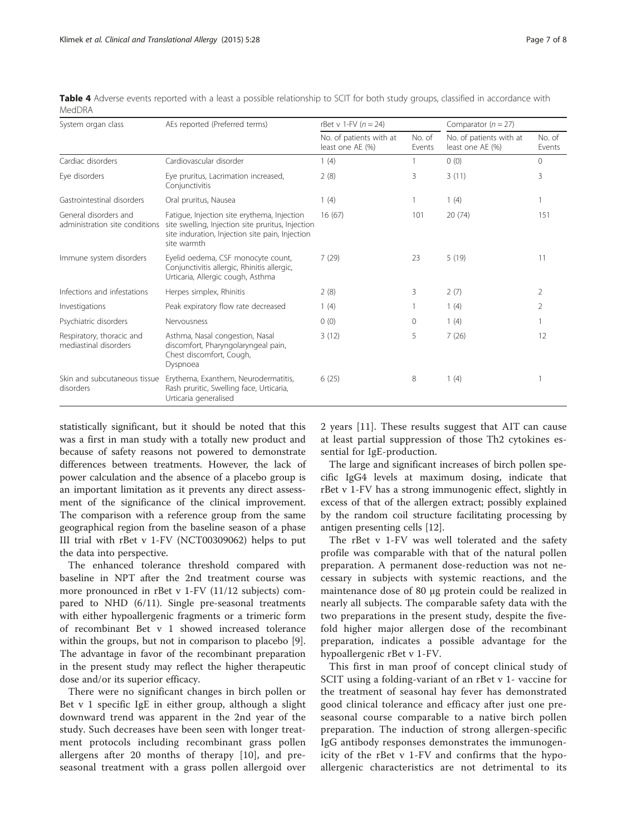| System organ class                                      | AEs reported (Preferred terms)                                                                                                                                     | rBet v 1-FV $(n = 24)$                      |                  | Comparator $(n = 27)$                       |                  |
|---------------------------------------------------------|--------------------------------------------------------------------------------------------------------------------------------------------------------------------|---------------------------------------------|------------------|---------------------------------------------|------------------|
|                                                         |                                                                                                                                                                    | No. of patients with at<br>least one AE (%) | No. of<br>Events | No. of patients with at<br>least one AE (%) | No. of<br>Events |
| Cardiac disorders                                       | Cardiovascular disorder                                                                                                                                            | 1(4)                                        |                  | 0(0)                                        | $\Omega$         |
| Eye disorders                                           | Eye pruritus, Lacrimation increased,<br>Conjunctivitis                                                                                                             | 2(8)                                        | 3                | 3(11)                                       | 3                |
| Gastrointestinal disorders                              | Oral pruritus, Nausea                                                                                                                                              | 1(4)                                        | 1                | 1(4)                                        |                  |
| General disorders and<br>administration site conditions | Fatigue, Injection site erythema, Injection<br>site swelling, Injection site pruritus, Injection<br>site induration, Injection site pain, Injection<br>site warmth | 16(67)                                      | 101              | 20(74)                                      | 151              |
| Immune system disorders                                 | Eyelid oedema, CSF monocyte count,<br>Conjunctivitis allergic, Rhinitis allergic,<br>Urticaria, Allergic cough, Asthma                                             | 7(29)                                       | 23               | 5(19)                                       | 11               |
| Infections and infestations                             | Herpes simplex, Rhinitis                                                                                                                                           | 2(8)                                        | 3                | 2(7)                                        | 2                |
| Investigations                                          | Peak expiratory flow rate decreased                                                                                                                                | 1(4)                                        |                  | 1(4)                                        | 2                |
| Psychiatric disorders                                   | Nervousness                                                                                                                                                        | 0(0)                                        | 0                | 1(4)                                        |                  |
| Respiratory, thoracic and<br>mediastinal disorders      | Asthma, Nasal congestion, Nasal<br>discomfort, Pharyngolaryngeal pain,<br>Chest discomfort, Cough,<br>Dyspnoea                                                     | 3(12)                                       | 5                | 7(26)                                       | 12               |
| Skin and subcutaneous tissue<br>disorders               | Erythema, Exanthem, Neurodermatitis,<br>Rash pruritic, Swelling face, Urticaria,<br>Urticaria generalised                                                          | 6(25)                                       | 8                | 1(4)                                        |                  |

<span id="page-6-0"></span>Table 4 Adverse events reported with a least a possible relationship to SCIT for both study groups, classified in accordance with MedDRA

statistically significant, but it should be noted that this was a first in man study with a totally new product and because of safety reasons not powered to demonstrate differences between treatments. However, the lack of power calculation and the absence of a placebo group is an important limitation as it prevents any direct assessment of the significance of the clinical improvement. The comparison with a reference group from the same geographical region from the baseline season of a phase III trial with rBet v 1-FV [\(NCT00309062\)](http://www.clinicaltrials.gov/NCT00309062) helps to put the data into perspective.

The enhanced tolerance threshold compared with baseline in NPT after the 2nd treatment course was more pronounced in rBet v 1-FV (11/12 subjects) compared to NHD (6/11). Single pre-seasonal treatments with either hypoallergenic fragments or a trimeric form of recombinant Bet v 1 showed increased tolerance within the groups, but not in comparison to placebo [\[9](#page-7-0)]. The advantage in favor of the recombinant preparation in the present study may reflect the higher therapeutic dose and/or its superior efficacy.

There were no significant changes in birch pollen or Bet v 1 specific IgE in either group, although a slight downward trend was apparent in the 2nd year of the study. Such decreases have been seen with longer treatment protocols including recombinant grass pollen allergens after 20 months of therapy [[10](#page-7-0)], and preseasonal treatment with a grass pollen allergoid over

2 years [\[11](#page-7-0)]. These results suggest that AIT can cause at least partial suppression of those Th2 cytokines essential for IgE-production.

The large and significant increases of birch pollen specific IgG4 levels at maximum dosing, indicate that rBet v 1-FV has a strong immunogenic effect, slightly in excess of that of the allergen extract; possibly explained by the random coil structure facilitating processing by antigen presenting cells [\[12](#page-7-0)].

The rBet v 1-FV was well tolerated and the safety profile was comparable with that of the natural pollen preparation. A permanent dose-reduction was not necessary in subjects with systemic reactions, and the maintenance dose of 80 μg protein could be realized in nearly all subjects. The comparable safety data with the two preparations in the present study, despite the fivefold higher major allergen dose of the recombinant preparation, indicates a possible advantage for the hypoallergenic rBet v 1-FV.

This first in man proof of concept clinical study of SCIT using a folding-variant of an rBet v 1- vaccine for the treatment of seasonal hay fever has demonstrated good clinical tolerance and efficacy after just one preseasonal course comparable to a native birch pollen preparation. The induction of strong allergen-specific IgG antibody responses demonstrates the immunogenicity of the rBet v 1-FV and confirms that the hypoallergenic characteristics are not detrimental to its